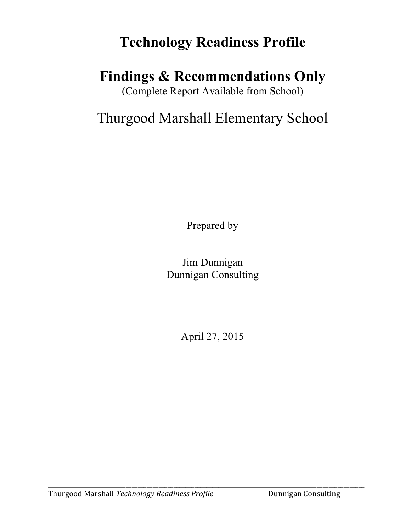## **Technology Readiness Profile**

### **Findings & Recommendations Only**

(Complete Report Available from School)

### Thurgood Marshall Elementary School

Prepared by

Jim Dunnigan Dunnigan Consulting

April 27, 2015

\_\_\_\_\_\_\_\_\_\_\_\_\_\_\_\_\_\_\_\_\_\_\_\_\_\_\_\_\_\_\_\_\_\_\_\_\_\_\_\_\_\_\_\_\_\_\_\_\_\_\_\_\_\_\_\_\_\_\_\_\_\_\_\_\_\_\_\_\_\_\_\_\_\_\_\_\_\_\_\_\_\_\_\_\_\_\_\_\_\_\_\_\_\_\_\_\_\_\_\_\_\_\_\_\_\_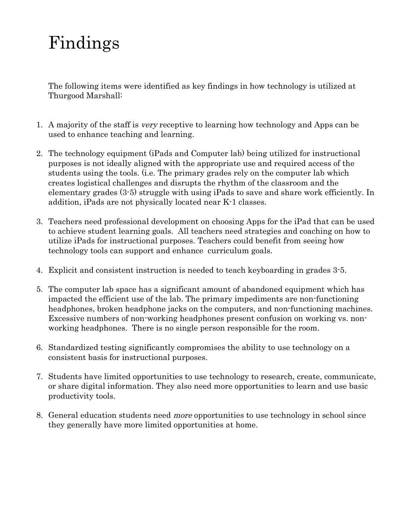# Findings

The following items were identified as key findings in how technology is utilized at Thurgood Marshall:

- 1. A majority of the staff is very receptive to learning how technology and Apps can be used to enhance teaching and learning.
- 2. The technology equipment (iPads and Computer lab) being utilized for instructional purposes is not ideally aligned with the appropriate use and required access of the students using the tools. (i.e. The primary grades rely on the computer lab which creates logistical challenges and disrupts the rhythm of the classroom and the elementary grades (3-5) struggle with using iPads to save and share work efficiently. In addition, iPads are not physically located near K-1 classes.
- 3. Teachers need professional development on choosing Apps for the iPad that can be used to achieve student learning goals. All teachers need strategies and coaching on how to utilize iPads for instructional purposes. Teachers could benefit from seeing how technology tools can support and enhance curriculum goals.
- 4. Explicit and consistent instruction is needed to teach keyboarding in grades 3-5.
- 5. The computer lab space has a significant amount of abandoned equipment which has impacted the efficient use of the lab. The primary impediments are non-functioning headphones, broken headphone jacks on the computers, and non-functioning machines. Excessive numbers of non-working headphones present confusion on working vs. nonworking headphones. There is no single person responsible for the room.
- 6. Standardized testing significantly compromises the ability to use technology on a consistent basis for instructional purposes.
- 7. Students have limited opportunities to use technology to research, create, communicate, or share digital information. They also need more opportunities to learn and use basic productivity tools.
- 8. General education students need more opportunities to use technology in school since they generally have more limited opportunities at home.